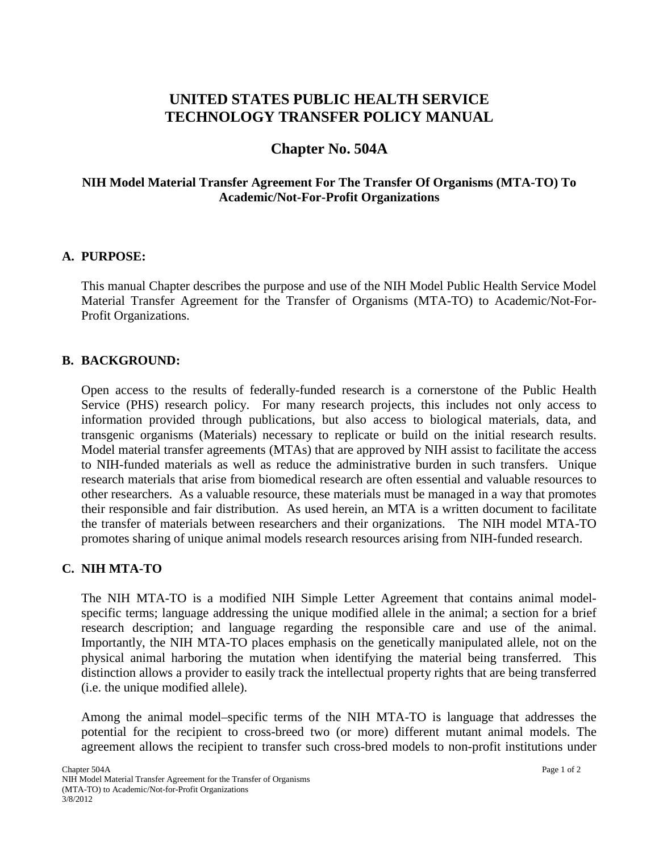# **UNITED STATES PUBLIC HEALTH SERVICE TECHNOLOGY TRANSFER POLICY MANUAL**

# **Chapter No. 504A**

#### **NIH Model Material Transfer Agreement For The Transfer Of Organisms (MTA-TO) To Academic/Not-For-Profit Organizations**

#### **A. PURPOSE:**

This manual Chapter describes the purpose and use of the NIH Model Public Health Service Model Material Transfer Agreement for the Transfer of Organisms (MTA-TO) to Academic/Not-For-Profit Organizations.

#### **B. BACKGROUND:**

Open access to the results of federally-funded research is a cornerstone of the Public Health Service (PHS) research policy. For many research projects, this includes not only access to information provided through publications, but also access to biological materials, data, and transgenic organisms (Materials) necessary to replicate or build on the initial research results. Model material transfer agreements (MTAs) that are approved by NIH assist to facilitate the access to NIH-funded materials as well as reduce the administrative burden in such transfers. Unique research materials that arise from biomedical research are often essential and valuable resources to other researchers. As a valuable resource, these materials must be managed in a way that promotes their responsible and fair distribution. As used herein, an MTA is a written document to facilitate the transfer of materials between researchers and their organizations. The NIH model MTA-TO promotes sharing of unique animal models research resources arising from NIH-funded research.

## **C. NIH MTA-TO**

The NIH MTA-TO is a modified NIH Simple Letter Agreement that contains animal modelspecific terms; language addressing the unique modified allele in the animal; a section for a brief research description; and language regarding the responsible care and use of the animal. Importantly, the NIH MTA-TO places emphasis on the genetically manipulated allele, not on the physical animal harboring the mutation when identifying the material being transferred. This distinction allows a provider to easily track the intellectual property rights that are being transferred (i.e. the unique modified allele).

Among the animal model–specific terms of the NIH MTA-TO is language that addresses the potential for the recipient to cross-breed two (or more) different mutant animal models. The agreement allows the recipient to transfer such cross-bred models to non-profit institutions under